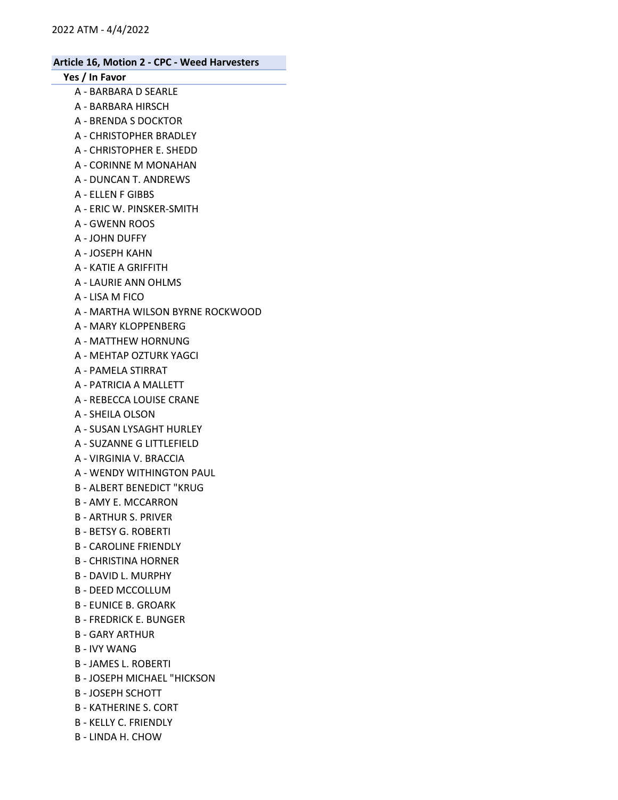### Yes / In Favor

- A BARBARA D SEARLE
- A BARBARA HIRSCH
- A BRENDA S DOCKTOR
- A CHRISTOPHER BRADLEY
- A CHRISTOPHER E. SHEDD
- A CORINNE M MONAHAN
- A DUNCAN T. ANDREWS
- A ELLEN F GIBBS
- A ERIC W. PINSKER-SMITH
- A GWENN ROOS
- A JOHN DUFFY
- A JOSEPH KAHN
- A KATIE A GRIFFITH
- A LAURIE ANN OHLMS
- A LISA M FICO
- A MARTHA WILSON BYRNE ROCKWOOD
- A MARY KLOPPENBERG
- A MATTHEW HORNUNG
- A MEHTAP OZTURK YAGCI
- A PAMELA STIRRAT
- A PATRICIA A MALLETT
- A REBECCA LOUISE CRANE
- A SHEILA OLSON
- A SUSAN LYSAGHT HURLEY
- A SUZANNE G LITTLEFIELD
- A VIRGINIA V. BRACCIA
- A WENDY WITHINGTON PAUL
- B ALBERT BENEDICT "KRUG
- B AMY E. MCCARRON
- B ARTHUR S. PRIVER
- B BETSY G. ROBERTI
- B CAROLINE FRIENDLY
- B CHRISTINA HORNER
- B DAVID L. MURPHY
- B DEED MCCOLLUM
- B EUNICE B. GROARK
- B FREDRICK E. BUNGER
- B GARY ARTHUR
- B IVY WANG
- B JAMES L. ROBERTI
- B JOSEPH MICHAEL "HICKSON
- B JOSEPH SCHOTT
- B KATHERINE S. CORT
- B KELLY C. FRIENDLY
- B LINDA H. CHOW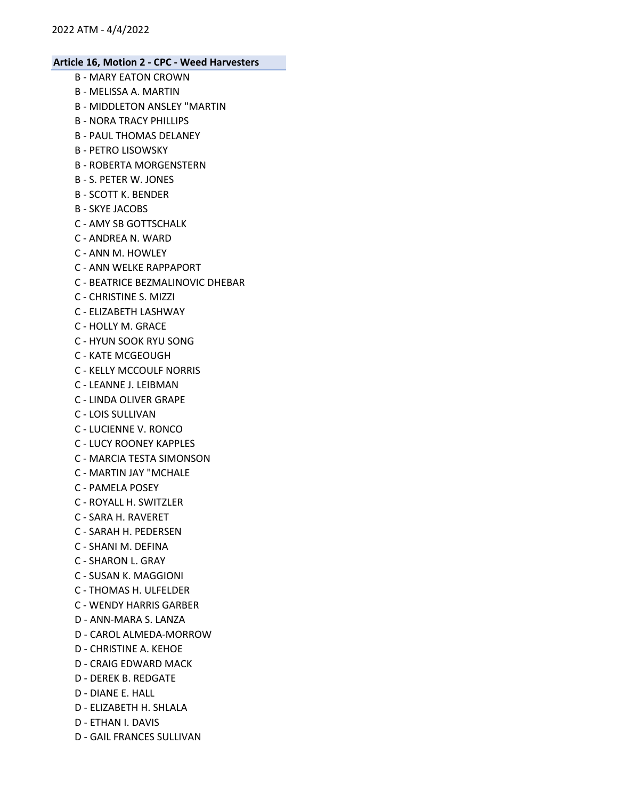- B MARY EATON CROWN
- B MELISSA A. MARTIN
- B MIDDLETON ANSLEY "MARTIN
- B NORA TRACY PHILLIPS
- B PAUL THOMAS DELANEY
- B PETRO LISOWSKY
- B ROBERTA MORGENSTERN
- B S. PETER W. JONES
- B SCOTT K. BENDER
- B SKYE JACOBS
- C AMY SB GOTTSCHALK
- C ANDREA N. WARD
- C ANN M. HOWLEY
- C ANN WELKE RAPPAPORT
- C BEATRICE BEZMALINOVIC DHEBAR
- C CHRISTINE S. MIZZI
- C ELIZABETH LASHWAY
- C HOLLY M. GRACE
- C HYUN SOOK RYU SONG
- C KATE MCGEOUGH
- C KELLY MCCOULF NORRIS
- C LEANNE J. LEIBMAN
- C LINDA OLIVER GRAPE
- C LOIS SULLIVAN
- C LUCIENNE V. RONCO
- C LUCY ROONEY KAPPLES
- C MARCIA TESTA SIMONSON
- C MARTIN JAY "MCHALE
- C PAMELA POSEY
- C ROYALL H. SWITZLER
- C SARA H. RAVERET
- C SARAH H. PEDERSEN
- C SHANI M. DEFINA
- C SHARON L. GRAY
- C SUSAN K. MAGGIONI
- C THOMAS H. ULFELDER
- C WENDY HARRIS GARBER
- D ANN-MARA S. LANZA
- D CAROL ALMEDA-MORROW
- D CHRISTINE A. KEHOE
- D CRAIG EDWARD MACK
- D DEREK B. REDGATE
- D DIANE E. HALL
- D ELIZABETH H. SHLALA
- D ETHAN I. DAVIS
- D GAIL FRANCES SULLIVAN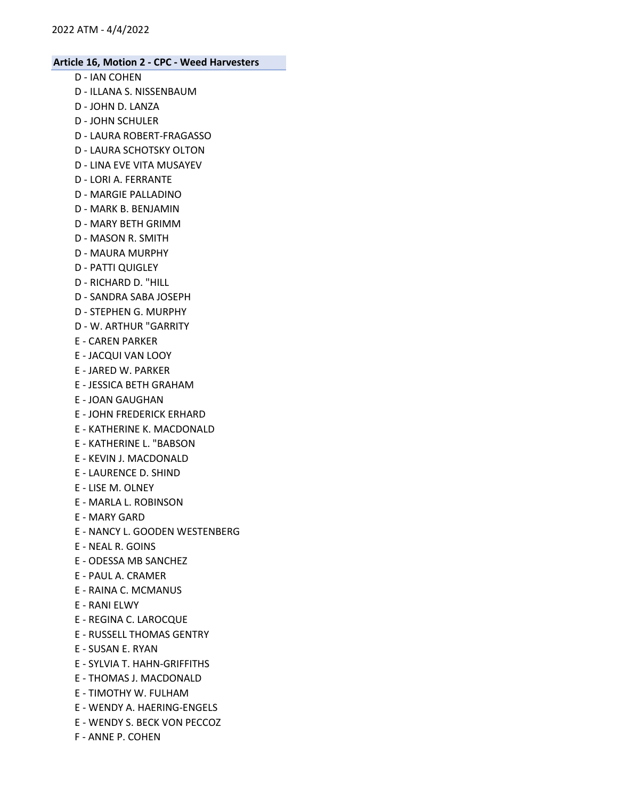- D IAN COHEN
- D ILLANA S. NISSENBAUM
- D JOHN D. LANZA
- D JOHN SCHULER
- D LAURA ROBERT-FRAGASSO
- D LAURA SCHOTSKY OLTON
- D LINA EVE VITA MUSAYEV
- D LORI A. FERRANTE
- D MARGIE PALLADINO
- D MARK B. BENJAMIN
- D MARY BETH GRIMM
- D MASON R. SMITH
- D MAURA MURPHY
- D PATTI QUIGLEY
- D RICHARD D. "HILL
- D SANDRA SABA JOSEPH
- D STEPHEN G. MURPHY
- D W. ARTHUR "GARRITY
- E CAREN PARKER
- E JACQUI VAN LOOY
- E JARED W. PARKER
- E JESSICA BETH GRAHAM
- E JOAN GAUGHAN
- E JOHN FREDERICK ERHARD
- E KATHERINE K. MACDONALD
- E KATHERINE L. "BABSON
- E KEVIN J. MACDONALD
- E LAURENCE D. SHIND
- E LISE M. OLNEY
- E MARLA L. ROBINSON
- E MARY GARD
- E NANCY L. GOODEN WESTENBERG
- E NEAL R. GOINS
- E ODESSA MB SANCHEZ
- E PAUL A. CRAMER
- E RAINA C. MCMANUS
- E RANI ELWY
- E REGINA C. LAROCQUE
- E RUSSELL THOMAS GENTRY
- E SUSAN E. RYAN
- E SYLVIA T. HAHN-GRIFFITHS
- E THOMAS J. MACDONALD
- E TIMOTHY W. FULHAM
- E WENDY A. HAERING-ENGELS
- E WENDY S. BECK VON PECCOZ
- F ANNE P. COHEN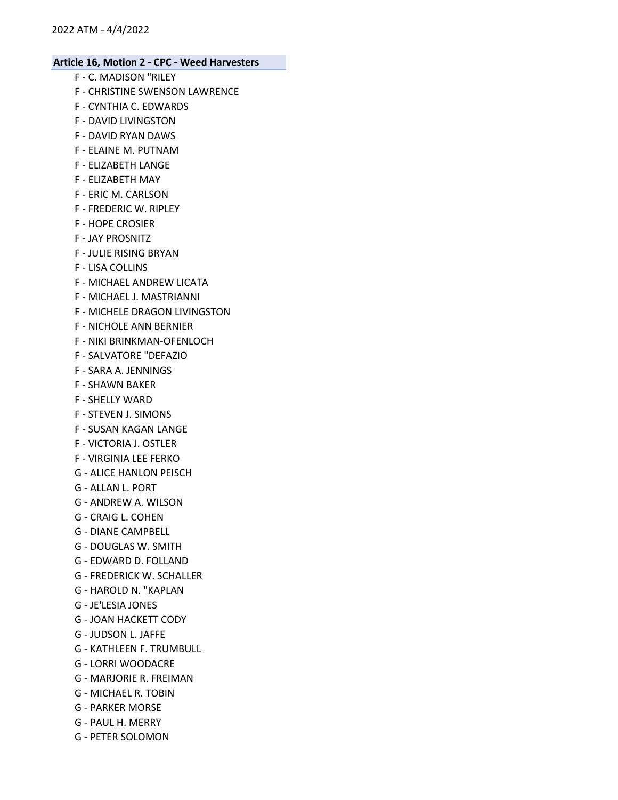- F C. MADISON "RILEY
- F CHRISTINE SWENSON LAWRENCE
- F CYNTHIA C. EDWARDS
- F DAVID LIVINGSTON
- F DAVID RYAN DAWS
- F ELAINE M. PUTNAM
- F ELIZABETH LANGE
- F ELIZABETH MAY
- F ERIC M. CARLSON
- F FREDERIC W. RIPLEY
- F HOPE CROSIER
- F JAY PROSNITZ
- F JULIE RISING BRYAN
- F LISA COLLINS
- F MICHAEL ANDREW LICATA
- F MICHAEL J. MASTRIANNI
- F MICHELE DRAGON LIVINGSTON
- F NICHOLE ANN BERNIER
- F NIKI BRINKMAN-OFENLOCH
- F SALVATORE "DEFAZIO
- F SARA A. JENNINGS
- F SHAWN BAKER
- F SHELLY WARD
- F STEVEN J. SIMONS
- F SUSAN KAGAN LANGE
- F VICTORIA J. OSTLER
- F VIRGINIA LEE FERKO
- G ALICE HANLON PEISCH
- G ALLAN L. PORT
- G ANDREW A. WILSON
- G CRAIG L. COHEN
- G DIANE CAMPBELL
- G DOUGLAS W. SMITH
- G EDWARD D. FOLLAND
- G FREDERICK W. SCHALLER
- G HAROLD N. "KAPLAN
- G JE'LESIA JONES
- G JOAN HACKETT CODY
- G JUDSON L. JAFFE
- G KATHLEEN F. TRUMBULL
- G LORRI WOODACRE
- G MARJORIE R. FREIMAN
- G MICHAEL R. TOBIN
- G PARKER MORSE
- G PAUL H. MERRY
- G PETER SOLOMON